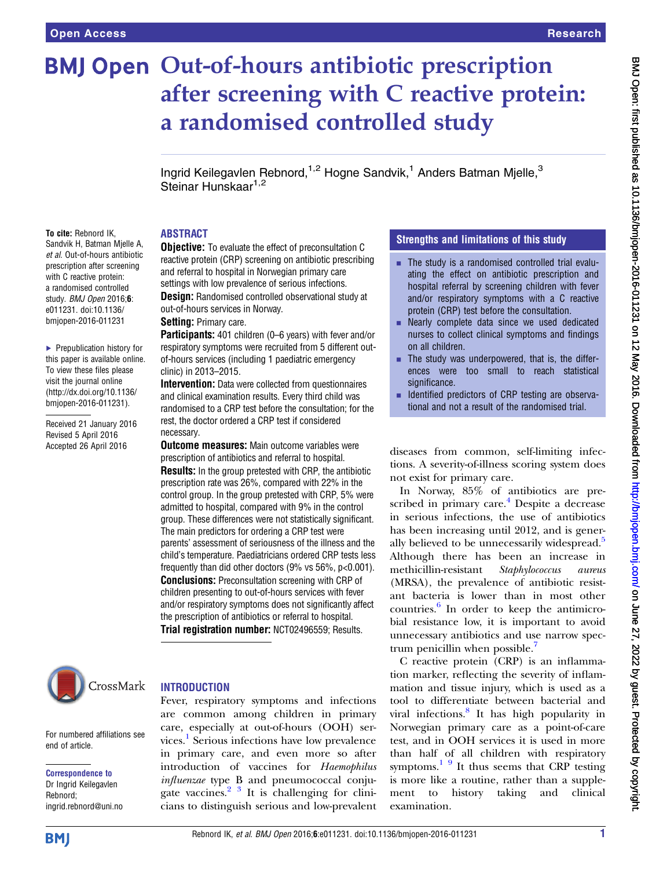# **BMJ Open Out-of-hours antibiotic prescription** after screening with C reactive protein: a randomised controlled study

Ingrid Keilegavlen Rebnord,<sup>1,2</sup> Hogne Sandvik,<sup>1</sup> Anders Batman Mjelle,<sup>3</sup> Steinar Hunskaar<sup>1,2</sup>

#### ABSTRACT

To cite: Rebnord IK, Sandvik H, Batman Mjelle A, et al. Out-of-hours antibiotic prescription after screening with C reactive protein: a randomised controlled study. BMJ Open 2016:6: e011231. doi:10.1136/ bmjopen-2016-011231

▶ Prepublication history for this paper is available online. To view these files please visit the journal online [\(http://dx.doi.org/10.1136/](http://dx.doi.org/10.1136/bmjopen-2016-011231) [bmjopen-2016-011231](http://dx.doi.org/10.1136/bmjopen-2016-011231)).

Received 21 January 2016 Revised 5 April 2016 Accepted 26 April 2016

**Objective:** To evaluate the effect of preconsultation C reactive protein (CRP) screening on antibiotic prescribing and referral to hospital in Norwegian primary care settings with low prevalence of serious infections. Design: Randomised controlled observational study at

out-of-hours services in Norway. Setting: Primary care.

Participants: 401 children (0–6 years) with fever and/or respiratory symptoms were recruited from 5 different outof-hours services (including 1 paediatric emergency clinic) in 2013–2015.

Intervention: Data were collected from questionnaires and clinical examination results. Every third child was randomised to a CRP test before the consultation; for the rest, the doctor ordered a CRP test if considered necessary.

**Outcome measures:** Main outcome variables were prescription of antibiotics and referral to hospital. Results: In the group pretested with CRP, the antibiotic prescription rate was 26%, compared with 22% in the control group. In the group pretested with CRP, 5% were admitted to hospital, compared with 9% in the control group. These differences were not statistically significant. The main predictors for ordering a CRP test were parents' assessment of seriousness of the illness and the child's temperature. Paediatricians ordered CRP tests less frequently than did other doctors (9% vs 56%, p<0.001). Conclusions: Preconsultation screening with CRP of children presenting to out-of-hours services with fever and/or respiratory symptoms does not significantly affect the prescription of antibiotics or referral to hospital. Trial registration number: NCT02496559; Results.



#### **INTRODUCTION**

For numbered affiliations see Fever, respiratory symptoms and infections are common among children in primary care, especially at out-of-hours (OOH) ser-vices.<sup>[1](#page-6-0)</sup> Serious infections have low prevalence in primary care, and even more so after introduction of vaccines for Haemophilus influenzae type B and pneumococcal conjugate vaccines.<sup>2</sup>  $3$  It is challenging for clinicians to distinguish serious and low-prevalent

### Strengths and limitations of this study

- $\blacksquare$  The study is a randomised controlled trial evaluating the effect on antibiotic prescription and hospital referral by screening children with fever and/or respiratory symptoms with a C reactive protein (CRP) test before the consultation.
- **E** Nearly complete data since we used dedicated nurses to collect clinical symptoms and findings on all children.
- $\blacksquare$  The study was underpowered, that is, the differences were too small to reach statistical significance.
- **EXECUTE:** Identified predictors of CRP testing are observational and not a result of the randomised trial.

diseases from common, self-limiting infections. A severity-of-illness scoring system does not exist for primary care.

In Norway, 85% of antibiotics are pre-scribed in primary care.<sup>[4](#page-6-0)</sup> Despite a decrease in serious infections, the use of antibiotics has been increasing until 2012, and is gener-ally believed to be unnecessarily widespread.<sup>[5](#page-6-0)</sup> Although there has been an increase in methicillin-resistant Staphylococcus aureus (MRSA), the prevalence of antibiotic resistant bacteria is lower than in most other countries. $\frac{6}{5}$  $\frac{6}{5}$  $\frac{6}{5}$  In order to keep the antimicrobial resistance low, it is important to avoid unnecessary antibiotics and use narrow spec-trum penicillin when possible.<sup>[7](#page-6-0)</sup>

C reactive protein (CRP) is an inflammation marker, reflecting the severity of inflammation and tissue injury, which is used as a tool to differentiate between bacterial and viral infections[.8](#page-6-0) It has high popularity in Norwegian primary care as a point-of-care test, and in OOH services it is used in more than half of all children with respiratory symptoms.<sup>[1 9](#page-6-0)</sup> It thus seems that CRP testing is more like a routine, rather than a supplement to history taking and clinical examination.



Rebnord;

end of article.

Correspondence to Dr Ingrid Keilegavlen

ingrid.rebnord@uni.no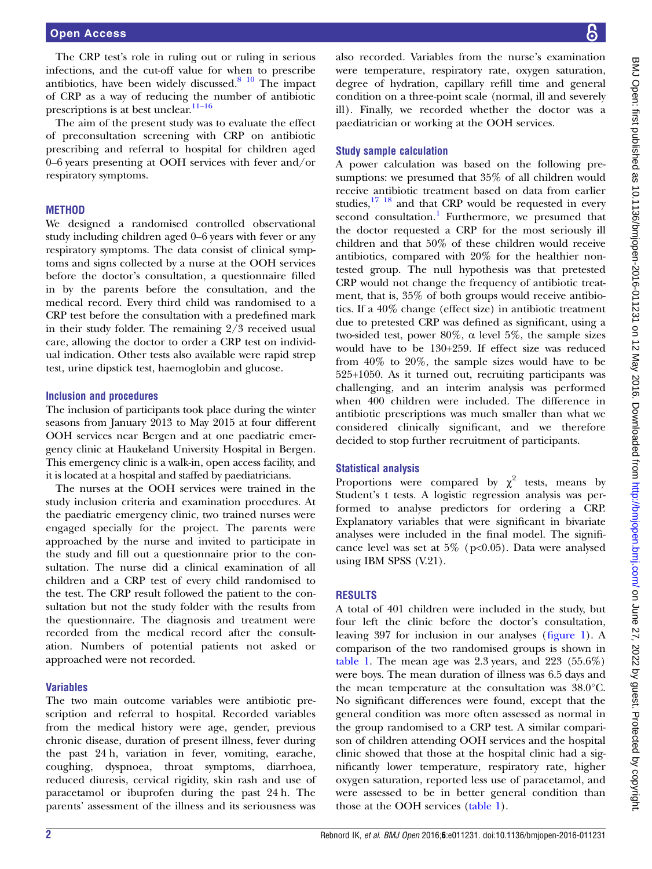The CRP test's role in ruling out or ruling in serious infections, and the cut-off value for when to prescribe antibiotics, have been widely discussed. $8\frac{10}{10}$  The impact of CRP as a way of reducing the number of antibiotic prescriptions is at best unclear.<sup>11–16</sup>

The aim of the present study was to evaluate the effect of preconsultation screening with CRP on antibiotic prescribing and referral to hospital for children aged 0–6 years presenting at OOH services with fever and/or respiratory symptoms.

#### **METHOD**

We designed a randomised controlled observational study including children aged 0–6 years with fever or any respiratory symptoms. The data consist of clinical symptoms and signs collected by a nurse at the OOH services before the doctor's consultation, a questionnaire filled in by the parents before the consultation, and the medical record. Every third child was randomised to a CRP test before the consultation with a predefined mark in their study folder. The remaining 2/3 received usual care, allowing the doctor to order a CRP test on individual indication. Other tests also available were rapid strep test, urine dipstick test, haemoglobin and glucose.

#### Inclusion and procedures

The inclusion of participants took place during the winter seasons from January 2013 to May 2015 at four different OOH services near Bergen and at one paediatric emergency clinic at Haukeland University Hospital in Bergen. This emergency clinic is a walk-in, open access facility, and it is located at a hospital and staffed by paediatricians.

The nurses at the OOH services were trained in the study inclusion criteria and examination procedures. At the paediatric emergency clinic, two trained nurses were engaged specially for the project. The parents were approached by the nurse and invited to participate in the study and fill out a questionnaire prior to the consultation. The nurse did a clinical examination of all children and a CRP test of every child randomised to the test. The CRP result followed the patient to the consultation but not the study folder with the results from the questionnaire. The diagnosis and treatment were recorded from the medical record after the consultation. Numbers of potential patients not asked or approached were not recorded.

#### Variables

The two main outcome variables were antibiotic prescription and referral to hospital. Recorded variables from the medical history were age, gender, previous chronic disease, duration of present illness, fever during the past 24 h, variation in fever, vomiting, earache, coughing, dyspnoea, throat symptoms, diarrhoea, reduced diuresis, cervical rigidity, skin rash and use of paracetamol or ibuprofen during the past 24 h. The parents' assessment of the illness and its seriousness was

also recorded. Variables from the nurse's examination were temperature, respiratory rate, oxygen saturation, degree of hydration, capillary refill time and general condition on a three-point scale (normal, ill and severely ill). Finally, we recorded whether the doctor was a paediatrician or working at the OOH services.

#### Study sample calculation

A power calculation was based on the following presumptions: we presumed that 35% of all children would receive antibiotic treatment based on data from earlier studies,  $17 \frac{18}{18}$  and that CRP would be requested in every second consultation.<sup>[1](#page-6-0)</sup> Furthermore, we presumed that the doctor requested a CRP for the most seriously ill children and that 50% of these children would receive antibiotics, compared with 20% for the healthier nontested group. The null hypothesis was that pretested CRP would not change the frequency of antibiotic treatment, that is, 35% of both groups would receive antibiotics. If a 40% change (effect size) in antibiotic treatment due to pretested CRP was defined as significant, using a two-sided test, power 80%, α level 5%, the sample sizes would have to be 130+259. If effect size was reduced from 40% to 20%, the sample sizes would have to be 525+1050. As it turned out, recruiting participants was challenging, and an interim analysis was performed when 400 children were included. The difference in antibiotic prescriptions was much smaller than what we considered clinically significant, and we therefore decided to stop further recruitment of participants.

### Statistical analysis

Proportions were compared by  $\chi^2$  tests, means by Student's t tests. A logistic regression analysis was performed to analyse predictors for ordering a CRP. Explanatory variables that were significant in bivariate analyses were included in the final model. The significance level was set at  $5\%$  (p<0.05). Data were analysed using IBM SPSS (V.21).

#### RESULTS

A total of 401 children were included in the study, but four left the clinic before the doctor's consultation, leaving 397 for inclusion in our analyses (fi[gure 1](#page-2-0)). A comparison of the two randomised groups is shown in [table 1.](#page-3-0) The mean age was  $2.3$  years, and  $223$  (55.6%) were boys. The mean duration of illness was 6.5 days and the mean temperature at the consultation was 38.0°C. No significant differences were found, except that the general condition was more often assessed as normal in the group randomised to a CRP test. A similar comparison of children attending OOH services and the hospital clinic showed that those at the hospital clinic had a significantly lower temperature, respiratory rate, higher oxygen saturation, reported less use of paracetamol, and were assessed to be in better general condition than those at the OOH services [\(table 1\)](#page-3-0).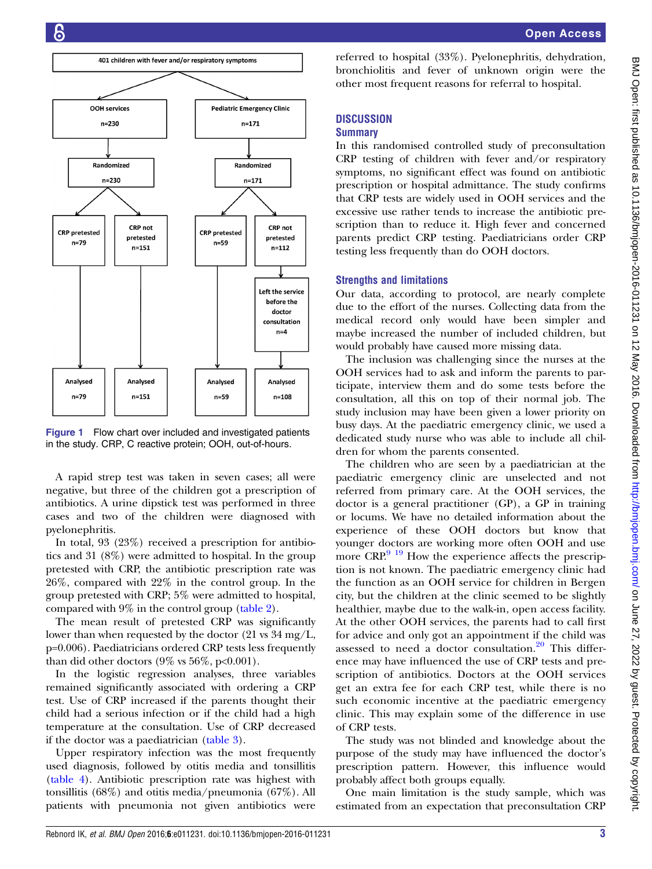<span id="page-2-0"></span>

Figure 1 Flow chart over included and investigated patients in the study. CRP, C reactive protein; OOH, out-of-hours.

A rapid strep test was taken in seven cases; all were negative, but three of the children got a prescription of antibiotics. A urine dipstick test was performed in three cases and two of the children were diagnosed with pyelonephritis.

In total, 93 (23%) received a prescription for antibiotics and 31 (8%) were admitted to hospital. In the group pretested with CRP, the antibiotic prescription rate was 26%, compared with 22% in the control group. In the group pretested with CRP; 5% were admitted to hospital, compared with 9% in the control group [\(table 2](#page-4-0)).

The mean result of pretested CRP was significantly lower than when requested by the doctor (21 vs 34 mg/L, p=0.006). Paediatricians ordered CRP tests less frequently than did other doctors  $(9\% \text{ vs } 56\%, \text{ p<0.001}).$ 

In the logistic regression analyses, three variables remained significantly associated with ordering a CRP test. Use of CRP increased if the parents thought their child had a serious infection or if the child had a high temperature at the consultation. Use of CRP decreased if the doctor was a paediatrician [\(table 3\)](#page-4-0).

Upper respiratory infection was the most frequently used diagnosis, followed by otitis media and tonsillitis [\(table 4](#page-5-0)). Antibiotic prescription rate was highest with tonsillitis (68%) and otitis media/pneumonia (67%). All patients with pneumonia not given antibiotics were

referred to hospital (33%). Pyelonephritis, dehydration, bronchiolitis and fever of unknown origin were the other most frequent reasons for referral to hospital.

### **DISCUSSION**

#### Summary

In this randomised controlled study of preconsultation CRP testing of children with fever and/or respiratory symptoms, no significant effect was found on antibiotic prescription or hospital admittance. The study confirms that CRP tests are widely used in OOH services and the excessive use rather tends to increase the antibiotic prescription than to reduce it. High fever and concerned parents predict CRP testing. Paediatricians order CRP testing less frequently than do OOH doctors.

#### Strengths and limitations

Our data, according to protocol, are nearly complete due to the effort of the nurses. Collecting data from the medical record only would have been simpler and maybe increased the number of included children, but would probably have caused more missing data.

The inclusion was challenging since the nurses at the OOH services had to ask and inform the parents to participate, interview them and do some tests before the consultation, all this on top of their normal job. The study inclusion may have been given a lower priority on busy days. At the paediatric emergency clinic, we used a dedicated study nurse who was able to include all children for whom the parents consented.

The children who are seen by a paediatrician at the paediatric emergency clinic are unselected and not referred from primary care. At the OOH services, the doctor is a general practitioner (GP), a GP in training or locums. We have no detailed information about the experience of these OOH doctors but know that younger doctors are working more often OOH and use more  $CRP<sup>9 19</sup>$  How the experience affects the prescription is not known. The paediatric emergency clinic had the function as an OOH service for children in Bergen city, but the children at the clinic seemed to be slightly healthier, maybe due to the walk-in, open access facility. At the other OOH services, the parents had to call first for advice and only got an appointment if the child was assessed to need a doctor consultation. $20$  This difference may have influenced the use of CRP tests and prescription of antibiotics. Doctors at the OOH services get an extra fee for each CRP test, while there is no such economic incentive at the paediatric emergency clinic. This may explain some of the difference in use of CRP tests.

The study was not blinded and knowledge about the purpose of the study may have influenced the doctor's prescription pattern. However, this influence would probably affect both groups equally.

One main limitation is the study sample, which was estimated from an expectation that preconsultation CRP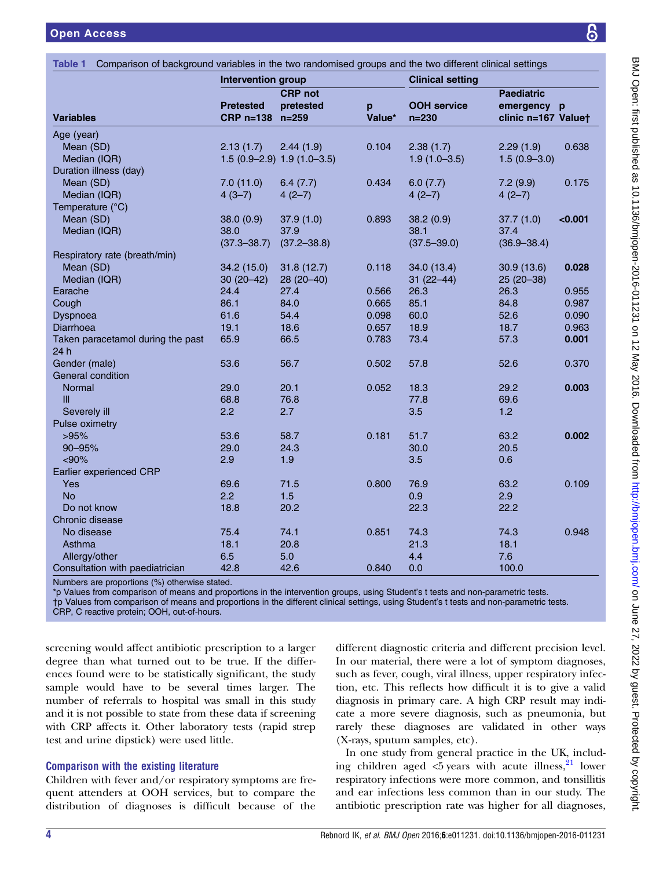<span id="page-3-0"></span>

| Comparison of background variables in the two randomised groups and the two different clinical settings<br>Table 1 |                                      |                                          |             |                                 |                                                         |         |  |
|--------------------------------------------------------------------------------------------------------------------|--------------------------------------|------------------------------------------|-------------|---------------------------------|---------------------------------------------------------|---------|--|
|                                                                                                                    | Intervention group                   |                                          |             | <b>Clinical setting</b>         |                                                         |         |  |
| <b>Variables</b>                                                                                                   | <b>Pretested</b><br><b>CRP n=138</b> | <b>CRP</b> not<br>pretested<br>$n = 259$ | p<br>Value* | <b>OOH</b> service<br>$n = 230$ | <b>Paediatric</b><br>emergency p<br>clinic n=167 Value† |         |  |
| Age (year)                                                                                                         |                                      |                                          |             |                                 |                                                         |         |  |
| Mean (SD)                                                                                                          | 2.13(1.7)                            | 2.44(1.9)                                | 0.104       | 2.38(1.7)                       | 2.29(1.9)                                               | 0.638   |  |
| Median (IQR)                                                                                                       |                                      | $1.5(0.9-2.9)$ 1.9 $(1.0-3.5)$           |             | $1.9(1.0 - 3.5)$                | $1.5(0.9 - 3.0)$                                        |         |  |
| Duration illness (day)                                                                                             |                                      |                                          |             |                                 |                                                         |         |  |
| Mean (SD)                                                                                                          | 7.0(11.0)                            | 6.4(7.7)                                 | 0.434       | 6.0(7.7)                        | 7.2(9.9)                                                | 0.175   |  |
| Median (IQR)                                                                                                       | $4(3-7)$                             | $4(2-7)$                                 |             | $4(2-7)$                        | $4(2-7)$                                                |         |  |
| Temperature (°C)                                                                                                   |                                      |                                          |             |                                 |                                                         |         |  |
| Mean (SD)                                                                                                          | 38.0(0.9)                            | 37.9(1.0)                                | 0.893       | 38.2(0.9)                       | 37.7(1.0)                                               | < 0.001 |  |
| Median (IQR)                                                                                                       | 38.0                                 | 37.9                                     |             | 38.1                            | 37.4                                                    |         |  |
|                                                                                                                    | $(37.3 - 38.7)$                      | $(37.2 - 38.8)$                          |             | $(37.5 - 39.0)$                 | $(36.9 - 38.4)$                                         |         |  |
| Respiratory rate (breath/min)                                                                                      |                                      |                                          |             |                                 |                                                         |         |  |
| Mean (SD)                                                                                                          | 34.2 (15.0)                          | 31.8(12.7)                               | 0.118       | 34.0 (13.4)                     | 30.9 (13.6)                                             | 0.028   |  |
| Median (IQR)                                                                                                       | $30(20-42)$                          | 28 (20-40)                               |             | $31(22 - 44)$                   | 25 (20-38)                                              |         |  |
| Earache                                                                                                            | 24.4                                 | 27.4                                     | 0.566       | 26.3                            | 26.3                                                    | 0.955   |  |
| Cough                                                                                                              | 86.1                                 | 84.0                                     | 0.665       | 85.1                            | 84.8                                                    | 0.987   |  |
| Dyspnoea                                                                                                           | 61.6                                 | 54.4                                     | 0.098       | 60.0                            | 52.6                                                    | 0.090   |  |
| Diarrhoea                                                                                                          | 19.1                                 | 18.6                                     | 0.657       | 18.9                            | 18.7                                                    | 0.963   |  |
| Taken paracetamol during the past                                                                                  | 65.9                                 | 66.5                                     | 0.783       | 73.4                            | 57.3                                                    | 0.001   |  |
| 24h                                                                                                                |                                      |                                          |             |                                 |                                                         |         |  |
| Gender (male)                                                                                                      | 53.6                                 | 56.7                                     | 0.502       | 57.8                            | 52.6                                                    | 0.370   |  |
| General condition                                                                                                  |                                      |                                          |             |                                 |                                                         |         |  |
| Normal                                                                                                             | 29.0                                 | 20.1                                     | 0.052       | 18.3                            | 29.2                                                    | 0.003   |  |
| Ш                                                                                                                  | 68.8                                 | 76.8                                     |             | 77.8                            | 69.6                                                    |         |  |
| Severely ill                                                                                                       | 2.2                                  | 2.7                                      |             | 3.5                             | 1.2                                                     |         |  |
| Pulse oximetry                                                                                                     |                                      |                                          |             |                                 |                                                         |         |  |
| >95%                                                                                                               | 53.6                                 | 58.7                                     | 0.181       | 51.7                            | 63.2                                                    | 0.002   |  |
| 90-95%                                                                                                             | 29.0                                 | 24.3                                     |             | 30.0                            | 20.5                                                    |         |  |
| < 90%                                                                                                              | 2.9                                  | 1.9                                      |             | 3.5                             | 0.6                                                     |         |  |
| Earlier experienced CRP                                                                                            |                                      |                                          |             |                                 |                                                         |         |  |
| Yes                                                                                                                | 69.6                                 | 71.5                                     | 0.800       | 76.9                            | 63.2                                                    | 0.109   |  |
| <b>No</b>                                                                                                          | 2.2                                  | 1.5                                      |             | 0.9                             | 2.9                                                     |         |  |
| Do not know                                                                                                        | 18.8                                 | 20.2                                     |             | 22.3                            | 22.2                                                    |         |  |
| Chronic disease                                                                                                    |                                      |                                          |             |                                 |                                                         |         |  |
| No disease                                                                                                         | 75.4                                 | 74.1                                     | 0.851       | 74.3                            | 74.3                                                    | 0.948   |  |
| Asthma                                                                                                             | 18.1                                 | 20.8                                     |             | 21.3                            | 18.1                                                    |         |  |
| Allergy/other                                                                                                      | 6.5                                  | 5.0                                      |             | 4.4                             | 7.6                                                     |         |  |
| Consultation with paediatrician                                                                                    | 42.8                                 | 42.6                                     | 0.840       | 0.0                             | 100.0                                                   |         |  |

Numbers are proportions (%) otherwise stated.

\*p Values from comparison of means and proportions in the intervention groups, using Student's t tests and non-parametric tests.

†p Values from comparison of means and proportions in the different clinical settings, using Student's t tests and non-parametric tests. CRP, C reactive protein; OOH, out-of-hours.

screening would affect antibiotic prescription to a larger degree than what turned out to be true. If the differences found were to be statistically significant, the study sample would have to be several times larger. The number of referrals to hospital was small in this study and it is not possible to state from these data if screening with CRP affects it. Other laboratory tests (rapid strep test and urine dipstick) were used little.

#### Comparison with the existing literature

Children with fever and/or respiratory symptoms are frequent attenders at OOH services, but to compare the distribution of diagnoses is difficult because of the

different diagnostic criteria and different precision level. In our material, there were a lot of symptom diagnoses, such as fever, cough, viral illness, upper respiratory infection, etc. This reflects how difficult it is to give a valid diagnosis in primary care. A high CRP result may indicate a more severe diagnosis, such as pneumonia, but rarely these diagnoses are validated in other ways (X-rays, sputum samples, etc).

In one study from general practice in the UK, including children aged  $\leq 5$  years with acute illness,  $2^1$  lower respiratory infections were more common, and tonsillitis and ear infections less common than in our study. The antibiotic prescription rate was higher for all diagnoses,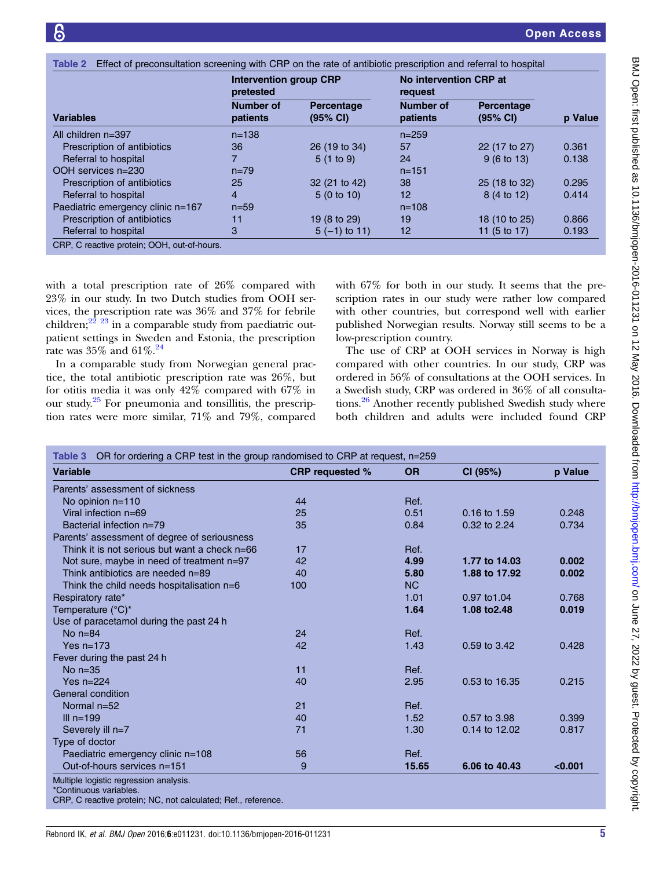<span id="page-4-0"></span>

|                                   | <b>Intervention group CRP</b><br>pretested |                                         | No intervention CRP at<br>request |                                         |         |
|-----------------------------------|--------------------------------------------|-----------------------------------------|-----------------------------------|-----------------------------------------|---------|
| <b>Variables</b>                  | Number of<br>patients                      | <b>Percentage</b><br>$(95% \text{ Cl})$ | <b>Number of</b><br>patients      | <b>Percentage</b><br>$(95% \text{ Cl})$ | p Value |
| All children $n = 397$            | $n = 138$                                  |                                         | $n = 259$                         |                                         |         |
| Prescription of antibiotics       | 36                                         | 26 (19 to 34)                           | 57                                | 22 (17 to 27)                           | 0.361   |
| Referral to hospital              |                                            | 5(1 to 9)                               | 24                                | $9(6 \text{ to } 13)$                   | 0.138   |
| OOH services n=230                | $n = 79$                                   |                                         | $n = 151$                         |                                         |         |
| Prescription of antibiotics       | 25                                         | 32 (21 to 42)                           | 38                                | 25 (18 to 32)                           | 0.295   |
| Referral to hospital              | 4                                          | 5(0 to 10)                              | 12                                | $8(4 \text{ to } 12)$                   | 0.414   |
| Paediatric emergency clinic n=167 | $n = 59$                                   |                                         | $n = 108$                         |                                         |         |
| Prescription of antibiotics       | 11                                         | 19 (8 to 29)                            | 19                                | 18 (10 to 25)                           | 0.866   |
| Referral to hospital              | 3                                          | $5(-1)$ to 11)                          | 12                                | 11 $(5 \text{ to } 17)$                 | 0.193   |

with a total prescription rate of 26% compared with 23% in our study. In two Dutch studies from OOH services, the prescription rate was 36% and 37% for febrile children;<sup>[22 23](#page-6-0)</sup> in a comparable study from paediatric outpatient settings in Sweden and Estonia, the prescription rate was  $35\%$  and  $61\%$ .<sup>[24](#page-6-0)</sup>

In a comparable study from Norwegian general practice, the total antibiotic prescription rate was 26%, but for otitis media it was only 42% compared with 67% in our study. $25$  For pneumonia and tonsillitis, the prescription rates were more similar, 71% and 79%, compared with 67% for both in our study. It seems that the prescription rates in our study were rather low compared with other countries, but correspond well with earlier published Norwegian results. Norway still seems to be a low-prescription country.

The use of CRP at OOH services in Norway is high compared with other countries. In our study, CRP was ordered in 56% of consultations at the OOH services. In a Swedish study, CRP was ordered in 36% of all consulta-tions.<sup>[26](#page-6-0)</sup> Another recently published Swedish study where both children and adults were included found CRP

| <b>Variable</b>                                 | <b>CRP</b> requested % | <b>OR</b> | CI (95%)                | p Value |
|-------------------------------------------------|------------------------|-----------|-------------------------|---------|
|                                                 |                        |           |                         |         |
| Parents' assessment of sickness                 |                        |           |                         |         |
| No opinion $n=110$                              | 44                     | Ref.      |                         |         |
| Viral infection $n=69$                          | 25                     | 0.51      | $0.16 \text{ to } 1.59$ | 0.248   |
| Bacterial infection n=79                        | 35                     | 0.84      | 0.32 to 2.24            | 0.734   |
| Parents' assessment of degree of seriousness    |                        |           |                         |         |
| Think it is not serious but want a check $n=66$ | 17                     | Ref.      |                         |         |
| Not sure, maybe in need of treatment n=97       | 42                     | 4.99      | 1.77 to 14.03           | 0.002   |
| Think antibiotics are needed $n=89$             | 40                     | 5.80      | 1.88 to 17.92           | 0.002   |
| Think the child needs hospitalisation n=6       | 100                    | NC        |                         |         |
| Respiratory rate*                               |                        | 1.01      | 0.97 to 1.04            | 0.768   |
| Temperature (°C)*                               |                        | 1.64      | 1.08 to 2.48            | 0.019   |
| Use of paracetamol during the past 24 h         |                        |           |                         |         |
| No $n=84$                                       | 24                     | Ref.      |                         |         |
| Yes $n=173$                                     | 42                     | 1.43      | 0.59 to 3.42            | 0.428   |
| Fever during the past 24 h                      |                        |           |                         |         |
| No $n=35$                                       | 11                     | Ref.      |                         |         |
| Yes $n=224$                                     | 40                     | 2.95      | 0.53 to 16.35           | 0.215   |
| <b>General condition</b>                        |                        |           |                         |         |
| Normal $n=52$                                   | 21                     | Ref.      |                         |         |
| III $n=199$                                     | 40                     | 1.52      | 0.57 to 3.98            | 0.399   |
| Severely ill n=7                                | 71                     | 1.30      | 0.14 to 12.02           | 0.817   |
| Type of doctor                                  |                        |           |                         |         |
| Paediatric emergency clinic n=108               | 56                     | Ref.      |                         |         |
| Out-of-hours services n=151                     | 9                      | 15.65     | 6.06 to 40.43           | < 0.001 |

\*Continuous variables.

CRP, C reactive protein; NC, not calculated; Ref., reference.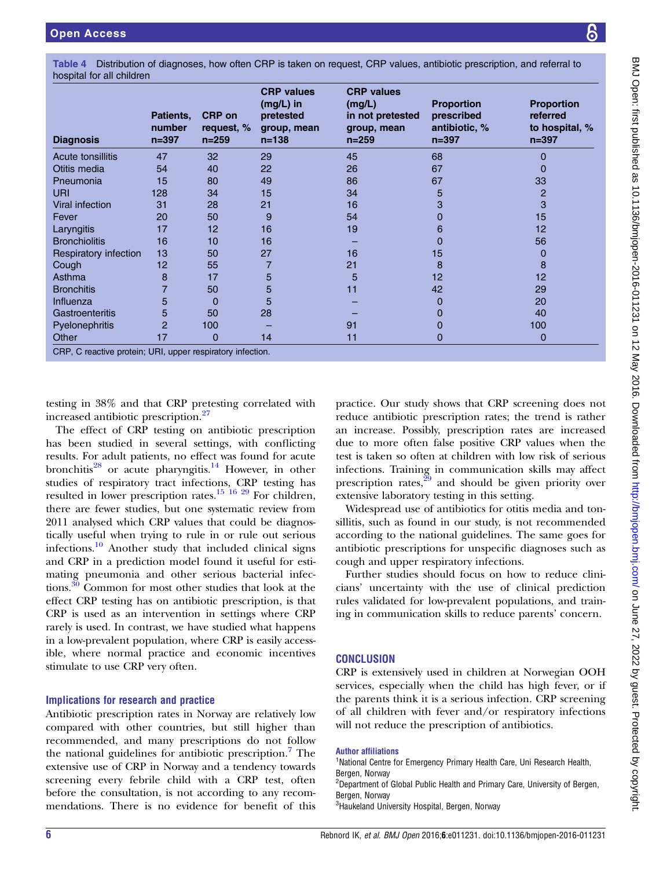<span id="page-5-0"></span>Table 4 Distribution of diagnoses, how often CRP is taken on request, CRP values, antibiotic prescription, and referral to hospital for all children

| <b>Diagnosis</b>                                           | Patients,<br>number<br>$n = 397$ | <b>CRP</b> on<br>request, %<br>$n = 259$ | <b>CRP</b> values<br>(mg/L) in<br>pretested<br>group, mean<br>$n = 138$ | <b>CRP</b> values<br>(mg/L)<br>in not pretested<br>group, mean<br>$n = 259$ | <b>Proportion</b><br>prescribed<br>antibiotic, %<br>$n = 397$ | <b>Proportion</b><br>referred<br>to hospital, %<br>$n = 397$ |
|------------------------------------------------------------|----------------------------------|------------------------------------------|-------------------------------------------------------------------------|-----------------------------------------------------------------------------|---------------------------------------------------------------|--------------------------------------------------------------|
| Acute tonsillitis                                          | 47                               | 32                                       | 29                                                                      | 45                                                                          | 68                                                            |                                                              |
| Otitis media                                               | 54                               | 40                                       | 22                                                                      | 26                                                                          | 67                                                            |                                                              |
| Pneumonia                                                  | 15                               | 80                                       | 49                                                                      | 86                                                                          | 67                                                            | 33                                                           |
| <b>URI</b>                                                 | 128                              | 34                                       | 15                                                                      | 34                                                                          | 5                                                             | 2                                                            |
| Viral infection                                            | 31                               | 28                                       | 21                                                                      | 16                                                                          | 3                                                             | 3                                                            |
| Fever                                                      | 20                               | 50                                       | 9                                                                       | 54                                                                          |                                                               | 15                                                           |
| Laryngitis                                                 | 17                               | 12                                       | 16                                                                      | 19                                                                          | 6                                                             | 12                                                           |
| <b>Bronchiolitis</b>                                       | 16                               | 10                                       | 16                                                                      |                                                                             | O                                                             | 56                                                           |
| Respiratory infection                                      | 13                               | 50                                       | 27                                                                      | 16                                                                          | 15                                                            | 0                                                            |
| Cough                                                      | 12                               | 55                                       |                                                                         | 21                                                                          | 8                                                             | 8                                                            |
| Asthma                                                     | 8                                | 17                                       | 5                                                                       | 5                                                                           | 12                                                            | 12                                                           |
| <b>Bronchitis</b>                                          |                                  | 50                                       | 5                                                                       | 11                                                                          | 42                                                            | 29                                                           |
| Influenza                                                  | 5                                | 0                                        | 5                                                                       |                                                                             | 0                                                             | 20                                                           |
| Gastroenteritis                                            | 5                                | 50                                       | 28                                                                      |                                                                             |                                                               | 40                                                           |
| <b>Pyelonephritis</b>                                      | $\overline{2}$                   | 100                                      |                                                                         | 91                                                                          |                                                               | 100                                                          |
| Other                                                      | 17                               | 0                                        | 14                                                                      | 11                                                                          | 0                                                             | 0                                                            |
| CRP, C reactive protein; URI, upper respiratory infection. |                                  |                                          |                                                                         |                                                                             |                                                               |                                                              |

testing in 38% and that CRP pretesting correlated with increased antibiotic prescription.[27](#page-6-0)

The effect of CRP testing on antibiotic prescription has been studied in several settings, with conflicting results. For adult patients, no effect was found for acute bronchitis<sup>[28](#page-6-0)</sup> or acute pharyngitis.<sup>14</sup> However, in other studies of respiratory tract infections, CRP testing has resulted in lower prescription rates.<sup>[15 16 29](#page-6-0)</sup> For children, there are fewer studies, but one systematic review from 2011 analysed which CRP values that could be diagnostically useful when trying to rule in or rule out serious infections.[10](#page-6-0) Another study that included clinical signs and CRP in a prediction model found it useful for estimating pneumonia and other serious bacterial infections.<sup>30</sup> Common for most other studies that look at the effect CRP testing has on antibiotic prescription, is that CRP is used as an intervention in settings where CRP rarely is used. In contrast, we have studied what happens in a low-prevalent population, where CRP is easily accessible, where normal practice and economic incentives stimulate to use CRP very often.

#### Implications for research and practice

Antibiotic prescription rates in Norway are relatively low compared with other countries, but still higher than recommended, and many prescriptions do not follow the national guidelines for antibiotic prescription.<sup>[7](#page-6-0)</sup> The extensive use of CRP in Norway and a tendency towards screening every febrile child with a CRP test, often before the consultation, is not according to any recommendations. There is no evidence for benefit of this

practice. Our study shows that CRP screening does not reduce antibiotic prescription rates; the trend is rather an increase. Possibly, prescription rates are increased due to more often false positive CRP values when the test is taken so often at children with low risk of serious infections. Training in communication skills may affect prescription rates, $\frac{29}{29}$  $\frac{29}{29}$  $\frac{29}{29}$  and should be given priority over extensive laboratory testing in this setting.

Widespread use of antibiotics for otitis media and tonsillitis, such as found in our study, is not recommended according to the national guidelines. The same goes for antibiotic prescriptions for unspecific diagnoses such as cough and upper respiratory infections.

Further studies should focus on how to reduce clinicians' uncertainty with the use of clinical prediction rules validated for low-prevalent populations, and training in communication skills to reduce parents' concern.

#### **CONCLUSION**

CRP is extensively used in children at Norwegian OOH services, especially when the child has high fever, or if the parents think it is a serious infection. CRP screening of all children with fever and/or respiratory infections will not reduce the prescription of antibiotics.

#### Author affiliations

<sup>&</sup>lt;sup>1</sup>National Centre for Emergency Primary Health Care, Uni Research Health, Bergen, Norway

<sup>&</sup>lt;sup>2</sup>Department of Global Public Health and Primary Care, University of Bergen, Bergen, Norway

<sup>&</sup>lt;sup>3</sup>Haukeland University Hospital, Bergen, Norway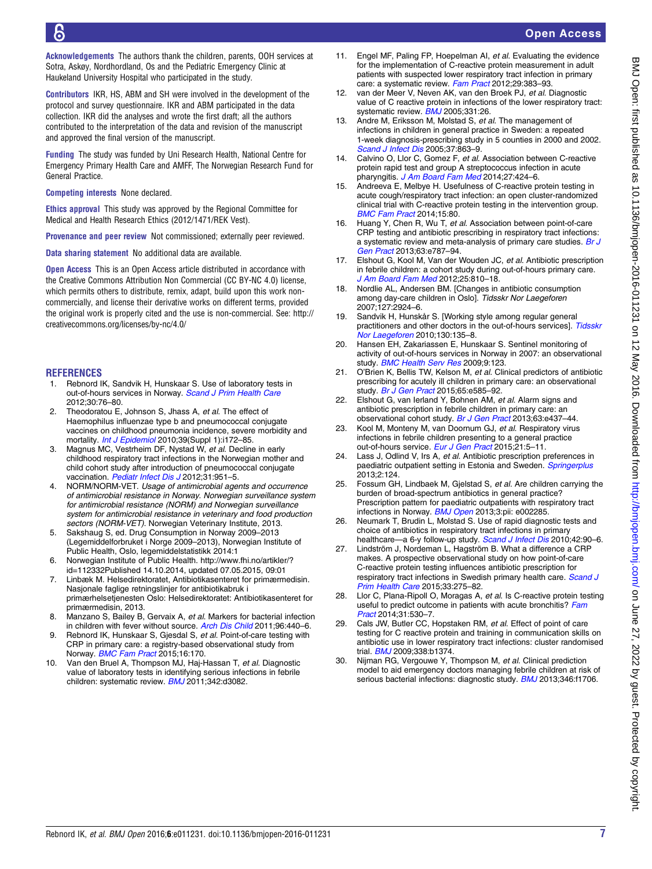#### Open Access

<span id="page-6-0"></span>Acknowledgements The authors thank the children, parents, OOH services at Sotra, Askøy, Nordhordland, Os and the Pediatric Emergency Clinic at Haukeland University Hospital who participated in the study.

Contributors IKR, HS, ABM and SH were involved in the development of the protocol and survey questionnaire. IKR and ABM participated in the data collection. IKR did the analyses and wrote the first draft; all the authors contributed to the interpretation of the data and revision of the manuscript and approved the final version of the manuscript.

Funding The study was funded by Uni Research Health, National Centre for Emergency Primary Health Care and AMFF, The Norwegian Research Fund for General Practice.

Competing interests None declared.

Ethics approval This study was approved by the Regional Committee for Medical and Health Research Ethics (2012/1471/REK Vest).

Provenance and peer review Not commissioned; externally peer reviewed.

Data sharing statement No additional data are available.

**Open Access** This is an Open Access article distributed in accordance with the Creative Commons Attribution Non Commercial (CC BY-NC 4.0) license, which permits others to distribute, remix, adapt, build upon this work noncommercially, and license their derivative works on different terms, provided the original work is properly cited and the use is non-commercial. See: [http://](http://creativecommons.org/licenses/by-nc/4.0/) [creativecommons.org/licenses/by-nc/4.0/](http://creativecommons.org/licenses/by-nc/4.0/)

#### **REFERENCES**

- 1. Rebnord IK, Sandvik H, Hunskaar S. Use of laboratory tests in out-of-hours services in Norway. [Scand J Prim Health Care](http://dx.doi.org/10.3109/02813432.2012.684208) 2012;30:76–80.
- 2. Theodoratou E, Johnson S, Jhass A, et al. The effect of Haemophilus influenzae type b and pneumococcal conjugate vaccines on childhood pneumonia incidence, severe morbidity and mortality. [Int J Epidemiol](http://dx.doi.org/10.1093/ije/dyq033) 2010;39(Suppl 1):i172-85.
- 3. Magnus MC, Vestrheim DF, Nystad W, et al. Decline in early childhood respiratory tract infections in the Norwegian mother and child cohort study after introduction of pneumococcal conjugate vaccination. [Pediatr Infect Dis J](http://dx.doi.org/10.1097/INF.0b013e31825d2f76) 2012;31:951-5.
- 4. NORM/NORM-VET. Usage of antimicrobial agents and occurrence of antimicrobial resistance in Norway. Norwegian surveillance system for antimicrobial resistance (NORM) and Norwegian surveillance system for antimicrobial resistance in veterinary and food production sectors (NORM-VET). Norwegian Veterinary Institute, 2013.
- 5. Sakshaug S, ed. Drug Consumption in Norway 2009–2013 (Legemiddelforbruket i Norge 2009–2013), Norwegian Institute of Public Health, Oslo, legemiddelstatistikk 2014:1
- 6. Norwegian Institute of Public Health. [http://www.fhi.no/artikler/?](http://www.fhi.no/artikler/?id=112332Published) [id=112332Published](http://www.fhi.no/artikler/?id=112332Published) 14.10.2014, updated 07.05.2015, 09:01
- 7. Linbæk M. Helsedirektoratet, Antibiotikasenteret for primærmedisin. Nasjonale faglige retningslinjer for antibiotikabruk i primærhelsetjenesten Oslo: Helsedirektoratet: Antibiotikasenteret for primærmedisin, 2013.
- 8. Manzano S, Bailey B, Gervaix A, et al. Markers for bacterial infection in children with fever without source. [Arch Dis Child](http://dx.doi.org/10.1136/adc.2010.203760) 2011;96:440-6.
- 9. Rebnord IK, Hunskaar S, Gjesdal S, et al. Point-of-care testing with CRP in primary care: a registry-based observational study from Norway. [BMC Fam Pract](http://dx.doi.org/10.1186/s12875-015-0385-8) 2015;16:170.
- 10. Van den Bruel A, Thompson MJ, Haj-Hassan T, et al. Diagnostic value of laboratory tests in identifying serious infections in febrile children: systematic review. **[BMJ](http://dx.doi.org/10.1136/bmj.d3082)** 2011;342:d3082.
- 11. Engel MF, Paling FP, Hoepelman AI, et al. Evaluating the evidence for the implementation of C-reactive protein measurement in adult patients with suspected lower respiratory tract infection in primary care: a systematic review. [Fam Pract](http://dx.doi.org/10.1093/fampra/cmr119) 2012;29:383-93.
- 12. van der Meer V, Neven AK, van den Broek PJ, et al. Diagnostic value of C reactive protein in infections of the lower respiratory tract: systematic review. **[BMJ](http://dx.doi.org/10.1136/bmj.38483.478183.EB)** 2005;331:26.
- 13. Andre M, Eriksson M, Molstad S, et al. The management of infections in children in general practice in Sweden: a repeated 1-week diagnosis-prescribing study in 5 counties in 2000 and 2002. [Scand J Infect Dis](http://dx.doi.org/10.1080/00365540500335207) 2005;37:863-9.
- 14. Calvino O, Llor C, Gomez F, et al. Association between C-reactive protein rapid test and group A streptococcus infection in acute pharyngitis. [J Am Board Fam Med](http://dx.doi.org/10.3122/jabfm.2014.03.130315) 2014;27:424–6.
- 15. Andreeva E, Melbye H. Usefulness of C-reactive protein testing in acute cough/respiratory tract infection: an open cluster-randomized clinical trial with C-reactive protein testing in the intervention group. [BMC Fam Pract](http://dx.doi.org/10.1186/1471-2296-15-80) 2014;15:80.
- 16. Huang Y, Chen R, Wu T, et al. Association between point-of-care CRP testing and antibiotic prescribing in respiratory tract infections: a systematic review and meta-analysis of primary care studies. [Br J](http://dx.doi.org/10.3399/bjgp13X674477) [Gen Pract](http://dx.doi.org/10.3399/bjgp13X674477) 2013;63:e787–94.
- 17. Elshout G, Kool M, Van der Wouden JC, et al. Antibiotic prescription in febrile children: a cohort study during out-of-hours primary care. [J Am Board Fam Med](http://dx.doi.org/10.3122/jabfm.2012.06.110310) 2012;25:810–18.
- 18. Nordlie AL, Andersen BM. [Changes in antibiotic consumption among day-care children in Oslo]. Tidsskr Nor Laegeforen 2007;127:2924–6.
- 19. Sandvik H, Hunskår S. [Working style among regular general practitioners and other doctors in the out-of-hours services]. [Tidsskr](http://dx.doi.org/10.4045/tidsskr.09.0489) Vor Laegeforen 2010;130:135-8.
- 20. Hansen EH, Zakariassen E, Hunskaar S. Sentinel monitoring of activity of out-of-hours services in Norway in 2007: an observational study. [BMC Health Serv Res](http://dx.doi.org/10.1186/1472-6963-9-123) 2009;9:123.
- 21. O'Brien K, Bellis TW, Kelson M, et al. Clinical predictors of antibiotic prescribing for acutely ill children in primary care: an observational study. [Br J Gen Pract](http://dx.doi.org/10.3399/bjgp15X686497) 2015;65:e585-92.
- 22. Elshout G, van Ierland Y, Bohnen AM, et al. Alarm signs and antibiotic prescription in febrile children in primary care: an observational cohort study. [Br J Gen Pract](http://dx.doi.org/10.3399/bjgp13X669158) 2013;63:e437-44.
- 23. Kool M, Monteny M, van Doornum GJ, et al. Respiratory virus infections in febrile children presenting to a general practice out-of-hours service. [Eur J Gen Pract](http://dx.doi.org/10.3109/13814788.2014.907267) 2015;21:5-11.
- 24. Lass J, Odlind V, Irs A, et al. Antibiotic prescription preferences in paediatric outpatient setting in Estonia and Sweden. [Springerplus](http://dx.doi.org/10.1186/2193-1801-2-124) 2013;2:124.
- 25. Fossum GH, Lindbaek M, Gielstad S, et al. Are children carrying the burden of broad-spectrum antibiotics in general practice? Prescription pattern for paediatric outpatients with respiratory tract infections in Norway. [BMJ Open](http://dx.doi.org/10.1136/bmjopen-2012-002285) 2013;3:pii: e002285.
- 26. Neumark T, Brudin L, Molstad S. Use of rapid diagnostic tests and choice of antibiotics in respiratory tract infections in primary healthcare—a 6-y follow-up study. [Scand J Infect Dis](http://dx.doi.org/10.3109/00365540903352932) 2010;42:90-6.
- 27. Lindström J, Nordeman L, Hagström B. What a difference a CRP makes. A prospective observational study on how point-of-care C-reactive protein testing influences antibiotic prescription for respiratory tract infections in Swedish primary health care. [Scand J](http://dx.doi.org/10.3109/02813432.2015.1114348) [Prim Health Care](http://dx.doi.org/10.3109/02813432.2015.1114348) 2015;33:275–82.
- 28. Llor C, Plana-Ripoll O, Moragas A, et al. Is C-reactive protein testing useful to predict outcome in patients with acute bronchitis? [Fam](http://dx.doi.org/10.1093/fampra/cmu037) [Pract](http://dx.doi.org/10.1093/fampra/cmu037) 2014;31:530–7.
- 29. Cals JW, Butler CC, Hopstaken RM, et al. Effect of point of care testing for C reactive protein and training in communication skills on antibiotic use in lower respiratory tract infections: cluster randomised trial. **[BMJ](http://dx.doi.org/10.1136/bmj.b1374)** 2009;338:b1374.
- 30. Nijman RG, Vergouwe Y, Thompson M, et al. Clinical prediction model to aid emergency doctors managing febrile children at risk of serious bacterial infections: diagnostic study. **[BMJ](http://dx.doi.org/10.1136/bmj.f1706)** 2013;346:f1706.